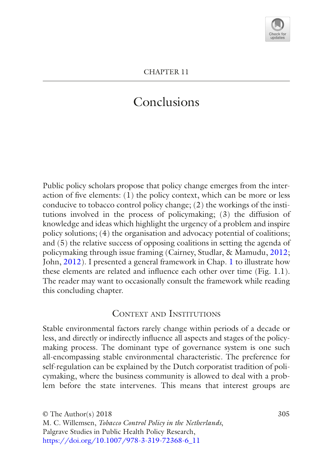

# Conclusions

Public policy scholars propose that policy change emerges from the interaction of five elements: (1) the policy context, which can be more or less conducive to tobacco control policy change; (2) the workings of the institutions involved in the process of policymaking; (3) the diffusion of knowledge and ideas which highlight the urgency of a problem and inspire policy solutions; (4) the organisation and advocacy potential of coalitions; and (5) the relative success of opposing coalitions in setting the agenda of policymaking through issue framing (Cairney, Studlar, & Mamudu, [2012;](#page-11-0) John, [2012](#page-12-0)). I presented a general framework in Chap. [1](https://doi.org/10.1007/978-3-319-72368-6_1) to illustrate how these elements are related and influence each other over time (Fig. 1.1). The reader may want to occasionally consult the framework while reading this concluding chapter.

#### CONTEXT AND INSTITUTIONS

Stable environmental factors rarely change within periods of a decade or less, and directly or indirectly influence all aspects and stages of the policymaking process. The dominant type of governance system is one such all-encompassing stable environmental characteristic. The preference for self-regulation can be explained by the Dutch corporatist tradition of policymaking, where the business community is allowed to deal with a problem before the state intervenes. This means that interest groups are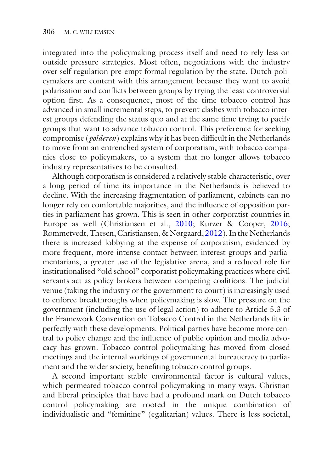integrated into the policymaking process itself and need to rely less on outside pressure strategies. Most often, negotiations with the industry over self-regulation pre-empt formal regulation by the state. Dutch policymakers are content with this arrangement because they want to avoid polarisation and conflicts between groups by trying the least controversial option first. As a consequence, most of the time tobacco control has advanced in small incremental steps, to prevent clashes with tobacco interest groups defending the status quo and at the same time trying to pacify groups that want to advance tobacco control. This preference for seeking compromise (*polderen*) explains why it has been difficult in the Netherlands to move from an entrenched system of corporatism, with tobacco companies close to policymakers, to a system that no longer allows tobacco industry representatives to be consulted.

Although corporatism is considered a relatively stable characteristic, over a long period of time its importance in the Netherlands is believed to decline. With the increasing fragmentation of parliament, cabinets can no longer rely on comfortable majorities, and the influence of opposition parties in parliament has grown. This is seen in other corporatist countries in Europe as well (Christiansen et al., [2010;](#page-11-1) Kurzer & Cooper, [2016;](#page-12-1) Rommetvedt, Thesen, Christiansen, & Nørgaard, [2012\)](#page-12-2). In the Netherlands there is increased lobbying at the expense of corporatism, evidenced by more frequent, more intense contact between interest groups and parliamentarians, a greater use of the legislative arena, and a reduced role for institutionalised "old school" corporatist policymaking practices where civil servants act as policy brokers between competing coalitions. The judicial venue (taking the industry or the government to court) is increasingly used to enforce breakthroughs when policymaking is slow. The pressure on the government (including the use of legal action) to adhere to Article 5.3 of the Framework Convention on Tobacco Control in the Netherlands fits in perfectly with these developments. Political parties have become more central to policy change and the influence of public opinion and media advocacy has grown. Tobacco control policymaking has moved from closed meetings and the internal workings of governmental bureaucracy to parliament and the wider society, benefiting tobacco control groups.

A second important stable environmental factor is cultural values, which permeated tobacco control policymaking in many ways. Christian and liberal principles that have had a profound mark on Dutch tobacco control policymaking are rooted in the unique combination of individualistic and "feminine" (egalitarian) values. There is less societal,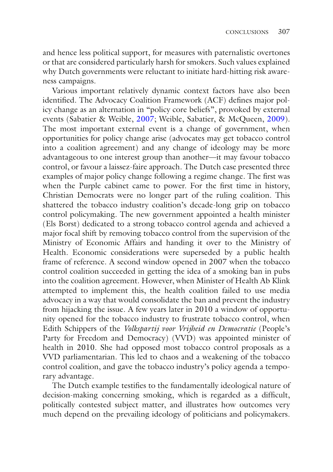and hence less political support, for measures with paternalistic overtones or that are considered particularly harsh for smokers. Such values explained why Dutch governments were reluctant to initiate hard-hitting risk awareness campaigns.

Various important relatively dynamic context factors have also been identified. The Advocacy Coalition Framework (ACF) defines major policy change as an alternation in "policy core beliefs", provoked by external events (Sabatier & Weible, [2007](#page-12-3); Weible, Sabatier, & McQueen, [2009](#page-12-4)). The most important external event is a change of government, when opportunities for policy change arise (advocates may get tobacco control into a coalition agreement) and any change of ideology may be more advantageous to one interest group than another—it may favour tobacco control, or favour a laissez-faire approach. The Dutch case presented three examples of major policy change following a regime change. The first was when the Purple cabinet came to power. For the first time in history, Christian Democrats were no longer part of the ruling coalition. This shattered the tobacco industry coalition's decade-long grip on tobacco control policymaking. The new government appointed a health minister (Els Borst) dedicated to a strong tobacco control agenda and achieved a major focal shift by removing tobacco control from the supervision of the Ministry of Economic Affairs and handing it over to the Ministry of Health. Economic considerations were superseded by a public health frame of reference. A second window opened in 2007 when the tobacco control coalition succeeded in getting the idea of a smoking ban in pubs into the coalition agreement. However, when Minister of Health Ab Klink attempted to implement this, the health coalition failed to use media advocacy in a way that would consolidate the ban and prevent the industry from hijacking the issue. A few years later in 2010 a window of opportunity opened for the tobacco industry to frustrate tobacco control, when Edith Schippers of the *Volkspartij voor Vrijheid en Democratie* (People's Party for Freedom and Democracy) (VVD) was appointed minister of health in 2010. She had opposed most tobacco control proposals as a VVD parliamentarian. This led to chaos and a weakening of the tobacco control coalition, and gave the tobacco industry's policy agenda a temporary advantage.

The Dutch example testifies to the fundamentally ideological nature of decision-making concerning smoking, which is regarded as a difficult, politically contested subject matter, and illustrates how outcomes very much depend on the prevailing ideology of politicians and policymakers.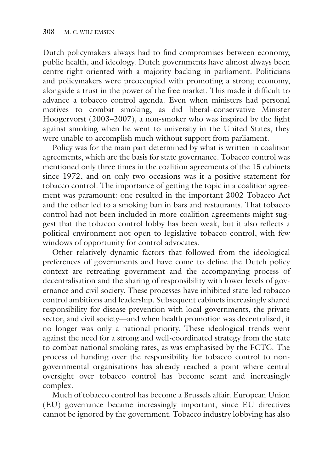Dutch policymakers always had to find compromises between economy, public health, and ideology. Dutch governments have almost always been centre-right oriented with a majority backing in parliament. Politicians and policymakers were preoccupied with promoting a strong economy, alongside a trust in the power of the free market. This made it difficult to advance a tobacco control agenda. Even when ministers had personal motives to combat smoking, as did liberal–conservative Minister Hoogervorst (2003–2007), a non-smoker who was inspired by the fight against smoking when he went to university in the United States, they were unable to accomplish much without support from parliament.

Policy was for the main part determined by what is written in coalition agreements, which are the basis for state governance. Tobacco control was mentioned only three times in the coalition agreements of the 15 cabinets since 1972, and on only two occasions was it a positive statement for tobacco control. The importance of getting the topic in a coalition agreement was paramount: one resulted in the important 2002 Tobacco Act and the other led to a smoking ban in bars and restaurants. That tobacco control had not been included in more coalition agreements might suggest that the tobacco control lobby has been weak, but it also reflects a political environment not open to legislative tobacco control, with few windows of opportunity for control advocates.

Other relatively dynamic factors that followed from the ideological preferences of governments and have come to define the Dutch policy context are retreating government and the accompanying process of decentralisation and the sharing of responsibility with lower levels of governance and civil society. These processes have inhibited state-led tobacco control ambitions and leadership. Subsequent cabinets increasingly shared responsibility for disease prevention with local governments, the private sector, and civil society—and when health promotion was decentralised, it no longer was only a national priority. These ideological trends went against the need for a strong and well-coordinated strategy from the state to combat national smoking rates, as was emphasised by the FCTC. The process of handing over the responsibility for tobacco control to nongovernmental organisations has already reached a point where central oversight over tobacco control has become scant and increasingly complex.

Much of tobacco control has become a Brussels affair. European Union (EU) governance became increasingly important, since EU directives cannot be ignored by the government. Tobacco industry lobbying has also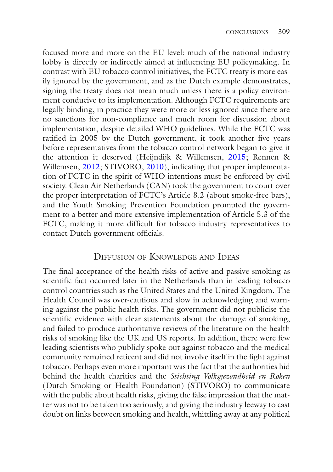focused more and more on the EU level: much of the national industry lobby is directly or indirectly aimed at influencing EU policymaking. In contrast with EU tobacco control initiatives, the FCTC treaty is more easily ignored by the government, and as the Dutch example demonstrates, signing the treaty does not mean much unless there is a policy environment conducive to its implementation. Although FCTC requirements are legally binding, in practice they were more or less ignored since there are no sanctions for non-compliance and much room for discussion about implementation, despite detailed WHO guidelines. While the FCTC was ratified in 2005 by the Dutch government, it took another five years before representatives from the tobacco control network began to give it the attention it deserved (Heijndijk & Willemsen, [2015](#page-11-2); Rennen & Willemsen, [2012](#page-12-5); STIVORO, [2010\)](#page-12-6), indicating that proper implementation of FCTC in the spirit of WHO intentions must be enforced by civil society. Clean Air Netherlands (CAN) took the government to court over the proper interpretation of FCTC's Article 8.2 (about smoke-free bars), and the Youth Smoking Prevention Foundation prompted the government to a better and more extensive implementation of Article 5.3 of the FCTC, making it more difficult for tobacco industry representatives to contact Dutch government officials.

#### Diffusion of Knowledge and Ideas

The final acceptance of the health risks of active and passive smoking as scientific fact occurred later in the Netherlands than in leading tobacco control countries such as the United States and the United Kingdom. The Health Council was over-cautious and slow in acknowledging and warning against the public health risks. The government did not publicise the scientific evidence with clear statements about the damage of smoking, and failed to produce authoritative reviews of the literature on the health risks of smoking like the UK and US reports. In addition, there were few leading scientists who publicly spoke out against tobacco and the medical community remained reticent and did not involve itself in the fight against tobacco. Perhaps even more important was the fact that the authorities hid behind the health charities and the *Stichting Volksgezondheid en Roken* (Dutch Smoking or Health Foundation) (STIVORO) to communicate with the public about health risks, giving the false impression that the matter was not to be taken too seriously, and giving the industry leeway to cast doubt on links between smoking and health, whittling away at any political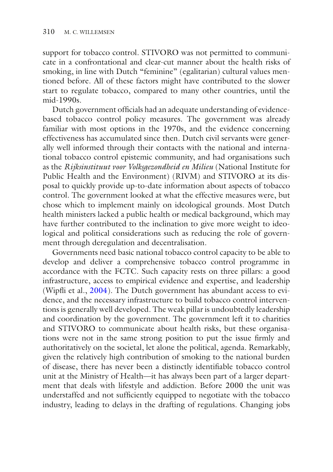support for tobacco control. STIVORO was not permitted to communicate in a confrontational and clear-cut manner about the health risks of smoking, in line with Dutch "feminine" (egalitarian) cultural values mentioned before. All of these factors might have contributed to the slower start to regulate tobacco, compared to many other countries, until the mid-1990s.

Dutch government officials had an adequate understanding of evidencebased tobacco control policy measures. The government was already familiar with most options in the 1970s, and the evidence concerning effectiveness has accumulated since then. Dutch civil servants were generally well informed through their contacts with the national and international tobacco control epistemic community, and had organisations such as the *Rijksinstituut voor Volksgezondheid en Milieu* (National Institute for Public Health and the Environment) (RIVM) and STIVORO at its disposal to quickly provide up-to-date information about aspects of tobacco control. The government looked at what the effective measures were, but chose which to implement mainly on ideological grounds. Most Dutch health ministers lacked a public health or medical background, which may have further contributed to the inclination to give more weight to ideological and political considerations such as reducing the role of government through deregulation and decentralisation.

Governments need basic national tobacco control capacity to be able to develop and deliver a comprehensive tobacco control programme in accordance with the FCTC. Such capacity rests on three pillars: a good infrastructure, access to empirical evidence and expertise, and leadership (Wipfli et al., [2004](#page-12-7)). The Dutch government has abundant access to evidence, and the necessary infrastructure to build tobacco control interventions is generally well developed. The weak pillar is undoubtedly leadership and coordination by the government. The government left it to charities and STIVORO to communicate about health risks, but these organisations were not in the same strong position to put the issue firmly and authoritatively on the societal, let alone the political, agenda. Remarkably, given the relatively high contribution of smoking to the national burden of disease, there has never been a distinctly identifiable tobacco control unit at the Ministry of Health—it has always been part of a larger department that deals with lifestyle and addiction. Before 2000 the unit was understaffed and not sufficiently equipped to negotiate with the tobacco industry, leading to delays in the drafting of regulations. Changing jobs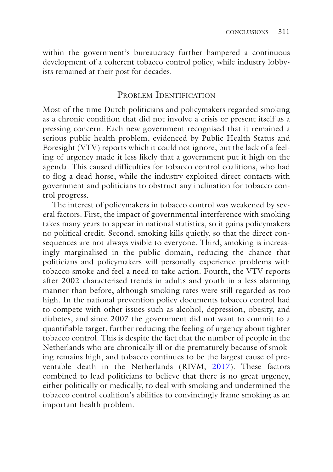within the government's bureaucracy further hampered a continuous development of a coherent tobacco control policy, while industry lobbyists remained at their post for decades.

### PROBLEM IDENTIFICATION

Most of the time Dutch politicians and policymakers regarded smoking as a chronic condition that did not involve a crisis or present itself as a pressing concern. Each new government recognised that it remained a serious public health problem, evidenced by Public Health Status and Foresight (VTV) reports which it could not ignore, but the lack of a feeling of urgency made it less likely that a government put it high on the agenda. This caused difficulties for tobacco control coalitions, who had to flog a dead horse, while the industry exploited direct contacts with government and politicians to obstruct any inclination for tobacco control progress.

The interest of policymakers in tobacco control was weakened by several factors. First, the impact of governmental interference with smoking takes many years to appear in national statistics, so it gains policymakers no political credit. Second, smoking kills quietly, so that the direct consequences are not always visible to everyone. Third, smoking is increasingly marginalised in the public domain, reducing the chance that politicians and policymakers will personally experience problems with tobacco smoke and feel a need to take action. Fourth, the VTV reports after 2002 characterised trends in adults and youth in a less alarming manner than before, although smoking rates were still regarded as too high. In the national prevention policy documents tobacco control had to compete with other issues such as alcohol, depression, obesity, and diabetes, and since 2007 the government did not want to commit to a quantifiable target, further reducing the feeling of urgency about tighter tobacco control. This is despite the fact that the number of people in the Netherlands who are chronically ill or die prematurely because of smoking remains high, and tobacco continues to be the largest cause of preventable death in the Netherlands (RIVM, [2017](#page-12-8)). These factors combined to lead politicians to believe that there is no great urgency, either politically or medically, to deal with smoking and undermined the tobacco control coalition's abilities to convincingly frame smoking as an important health problem.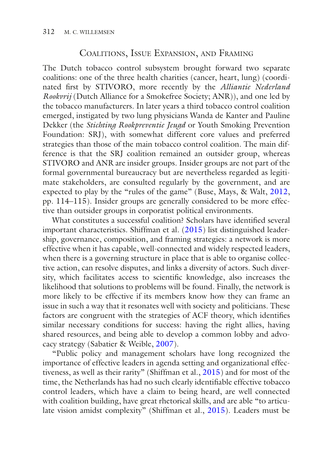#### Coalitions, Issue Expansion, and Framing

The Dutch tobacco control subsystem brought forward two separate coalitions: one of the three health charities (cancer, heart, lung) (coordinated first by STIVORO, more recently by the *Alliantie Nederland Rookvrij* (Dutch Alliance for a Smokefree Society; ANR)), and one led by the tobacco manufacturers. In later years a third tobacco control coalition emerged, instigated by two lung physicians Wanda de Kanter and Pauline Dekker (the *Stichting Rookpreventie Jeugd* or Youth Smoking Prevention Foundation: SRJ), with somewhat different core values and preferred strategies than those of the main tobacco control coalition. The main difference is that the SRJ coalition remained an outsider group, whereas STIVORO and ANR are insider groups. Insider groups are not part of the formal governmental bureaucracy but are nevertheless regarded as legitimate stakeholders, are consulted regularly by the government, and are expected to play by the "rules of the game" (Buse, Mays, & Walt, [2012,](#page-11-3) pp. 114–115). Insider groups are generally considered to be more effective than outsider groups in corporatist political environments.

What constitutes a successful coalition? Scholars have identified several important characteristics. Shiffman et al. [\(2015](#page-12-9)) list distinguished leadership, governance, composition, and framing strategies: a network is more effective when it has capable, well-connected and widely respected leaders, when there is a governing structure in place that is able to organise collective action, can resolve disputes, and links a diversity of actors. Such diversity, which facilitates access to scientific knowledge, also increases the likelihood that solutions to problems will be found. Finally, the network is more likely to be effective if its members know how they can frame an issue in such a way that it resonates well with society and politicians. These factors are congruent with the strategies of ACF theory, which identifies similar necessary conditions for success: having the right allies, having shared resources, and being able to develop a common lobby and advocacy strategy (Sabatier & Weible, [2007\)](#page-12-3).

"Public policy and management scholars have long recognized the importance of effective leaders in agenda setting and organizational effectiveness, as well as their rarity" (Shiffman et al., [2015\)](#page-12-9) and for most of the time, the Netherlands has had no such clearly identifiable effective tobacco control leaders, which have a claim to being heard, are well connected with coalition building, have great rhetorical skills, and are able "to articulate vision amidst complexity" (Shiffman et al., [2015\)](#page-12-9). Leaders must be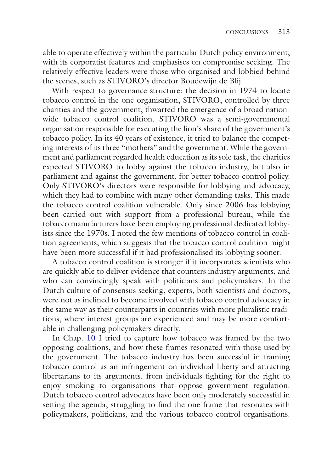able to operate effectively within the particular Dutch policy environment, with its corporatist features and emphasises on compromise seeking. The relatively effective leaders were those who organised and lobbied behind the scenes, such as STIVORO's director Boudewijn de Blij.

With respect to governance structure: the decision in 1974 to locate tobacco control in the one organisation, STIVORO, controlled by three charities and the government, thwarted the emergence of a broad nationwide tobacco control coalition. STIVORO was a semi-governmental organisation responsible for executing the lion's share of the government's tobacco policy. In its 40 years of existence, it tried to balance the competing interests of its three "mothers" and the government. While the government and parliament regarded health education as its sole task, the charities expected STIVORO to lobby against the tobacco industry, but also in parliament and against the government, for better tobacco control policy. Only STIVORO's directors were responsible for lobbying and advocacy, which they had to combine with many other demanding tasks. This made the tobacco control coalition vulnerable. Only since 2006 has lobbying been carried out with support from a professional bureau, while the tobacco manufacturers have been employing professional dedicated lobbyists since the 1970s. I noted the few mentions of tobacco control in coalition agreements, which suggests that the tobacco control coalition might have been more successful if it had professionalised its lobbying sooner.

A tobacco control coalition is stronger if it incorporates scientists who are quickly able to deliver evidence that counters industry arguments, and who can convincingly speak with politicians and policymakers. In the Dutch culture of consensus seeking, experts, both scientists and doctors, were not as inclined to become involved with tobacco control advocacy in the same way as their counterparts in countries with more pluralistic traditions, where interest groups are experienced and may be more comfortable in challenging policymakers directly.

In Chap. [10](https://doi.org/10.1007/978-3-319-72368-6_10) I tried to capture how tobacco was framed by the two opposing coalitions, and how these frames resonated with those used by the government. The tobacco industry has been successful in framing tobacco control as an infringement on individual liberty and attracting libertarians to its arguments, from individuals fighting for the right to enjoy smoking to organisations that oppose government regulation. Dutch tobacco control advocates have been only moderately successful in setting the agenda, struggling to find the one frame that resonates with policymakers, politicians, and the various tobacco control organisations.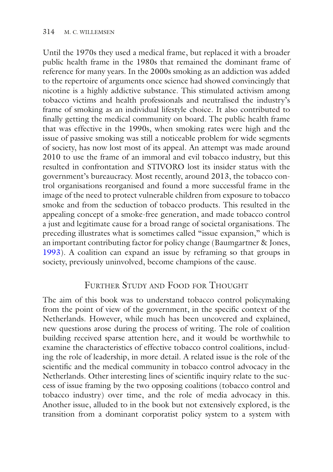Until the 1970s they used a medical frame, but replaced it with a broader public health frame in the 1980s that remained the dominant frame of reference for many years. In the 2000s smoking as an addiction was added to the repertoire of arguments once science had showed convincingly that nicotine is a highly addictive substance. This stimulated activism among tobacco victims and health professionals and neutralised the industry's frame of smoking as an individual lifestyle choice. It also contributed to finally getting the medical community on board. The public health frame that was effective in the 1990s, when smoking rates were high and the issue of passive smoking was still a noticeable problem for wide segments of society, has now lost most of its appeal. An attempt was made around 2010 to use the frame of an immoral and evil tobacco industry, but this resulted in confrontation and STIVORO lost its insider status with the government's bureaucracy. Most recently, around 2013, the tobacco control organisations reorganised and found a more successful frame in the image of the need to protect vulnerable children from exposure to tobacco smoke and from the seduction of tobacco products. This resulted in the appealing concept of a smoke-free generation, and made tobacco control a just and legitimate cause for a broad range of societal organisations. The preceding illustrates what is sometimes called "issue expansion," which is an important contributing factor for policy change (Baumgartner & Jones, [1993](#page-11-4)). A coalition can expand an issue by reframing so that groups in society, previously uninvolved, become champions of the cause.

## Further Study and Food for Thought

The aim of this book was to understand tobacco control policymaking from the point of view of the government, in the specific context of the Netherlands. However, while much has been uncovered and explained, new questions arose during the process of writing. The role of coalition building received sparse attention here, and it would be worthwhile to examine the characteristics of effective tobacco control coalitions, including the role of leadership, in more detail. A related issue is the role of the scientific and the medical community in tobacco control advocacy in the Netherlands. Other interesting lines of scientific inquiry relate to the success of issue framing by the two opposing coalitions (tobacco control and tobacco industry) over time, and the role of media advocacy in this. Another issue, alluded to in the book but not extensively explored, is the transition from a dominant corporatist policy system to a system with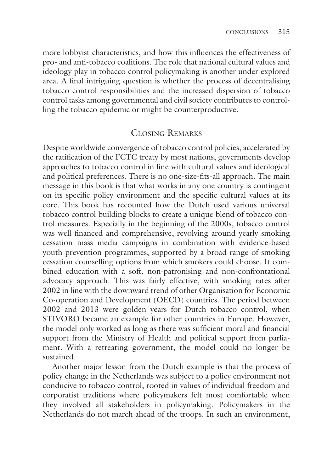more lobbyist characteristics, and how this influences the effectiveness of pro- and anti-tobacco coalitions. The role that national cultural values and ideology play in tobacco control policymaking is another under-explored area. A final intriguing question is whether the process of decentralising tobacco control responsibilities and the increased dispersion of tobacco control tasks among governmental and civil society contributes to controlling the tobacco epidemic or might be counterproductive.

# Closing Remarks

Despite worldwide convergence of tobacco control policies, accelerated by the ratification of the FCTC treaty by most nations, governments develop approaches to tobacco control in line with cultural values and ideological and political preferences. There is no one-size-fits-all approach. The main message in this book is that what works in any one country is contingent on its specific policy environment and the specific cultural values at its core. This book has recounted how the Dutch used various universal tobacco control building blocks to create a unique blend of tobacco control measures. Especially in the beginning of the 2000s, tobacco control was well financed and comprehensive, revolving around yearly smoking cessation mass media campaigns in combination with evidence-based youth prevention programmes, supported by a broad range of smoking cessation counselling options from which smokers could choose. It combined education with a soft, non-patronising and non-confrontational advocacy approach. This was fairly effective, with smoking rates after 2002 in line with the downward trend of other Organisation for Economic Co-operation and Development (OECD) countries. The period between 2002 and 2013 were golden years for Dutch tobacco control, when STIVORO became an example for other countries in Europe. However, the model only worked as long as there was sufficient moral and financial support from the Ministry of Health and political support from parliament. With a retreating government, the model could no longer be sustained.

Another major lesson from the Dutch example is that the process of policy change in the Netherlands was subject to a policy environment not conducive to tobacco control, rooted in values of individual freedom and corporatist traditions where policymakers felt most comfortable when they involved all stakeholders in policymaking. Policymakers in the Netherlands do not march ahead of the troops. In such an environment,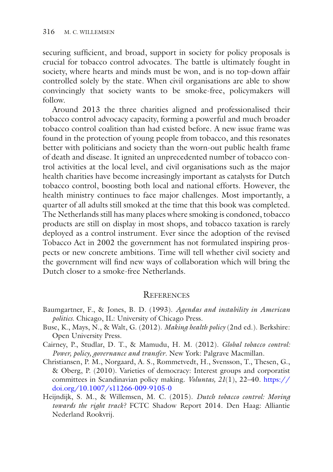securing sufficient, and broad, support in society for policy proposals is crucial for tobacco control advocates. The battle is ultimately fought in society, where hearts and minds must be won, and is no top-down affair controlled solely by the state. When civil organisations are able to show convincingly that society wants to be smoke-free, policymakers will follow.

Around 2013 the three charities aligned and professionalised their tobacco control advocacy capacity, forming a powerful and much broader tobacco control coalition than had existed before. A new issue frame was found in the protection of young people from tobacco, and this resonates better with politicians and society than the worn-out public health frame of death and disease. It ignited an unprecedented number of tobacco control activities at the local level, and civil organisations such as the major health charities have become increasingly important as catalysts for Dutch tobacco control, boosting both local and national efforts. However, the health ministry continues to face major challenges. Most importantly, a quarter of all adults still smoked at the time that this book was completed. The Netherlands still has many places where smoking is condoned, tobacco products are still on display in most shops, and tobacco taxation is rarely deployed as a control instrument. Ever since the adoption of the revised Tobacco Act in 2002 the government has not formulated inspiring prospects or new concrete ambitions. Time will tell whether civil society and the government will find new ways of collaboration which will bring the Dutch closer to a smoke-free Netherlands.

#### **REFERENCES**

- <span id="page-11-4"></span>Baumgartner, F., & Jones, B. D. (1993). *Agendas and instability in American politics*. Chicago, IL: University of Chicago Press.
- <span id="page-11-3"></span>Buse, K., Mays, N., & Walt, G. (2012). *Making health policy* (2nd ed.). Berkshire: Open University Press.
- <span id="page-11-0"></span>Cairney, P., Studlar, D. T., & Mamudu, H. M. (2012). *Global tobacco control: Power, policy, governance and transfer*. New York: Palgrave Macmillan.
- <span id="page-11-1"></span>Christiansen, P. M., Norgaard, A. S., Rommetvedt, H., Svensson, T., Thesen, G., & Oberg, P. (2010). Varieties of democracy: Interest groups and corporatist committees in Scandinavian policy making. *Voluntas, 21*(1), 22–40. [https://](https://doi.org/10.1007/s11266-009-9105-0) [doi.org/10.1007/s11266-009-9105-0](https://doi.org/10.1007/s11266-009-9105-0)
- <span id="page-11-2"></span>Heijndijk, S. M., & Willemsen, M. C. (2015). *Dutch tobacco control: Moving towards the right track?* FCTC Shadow Report 2014. Den Haag: Alliantie Nederland Rookvrij.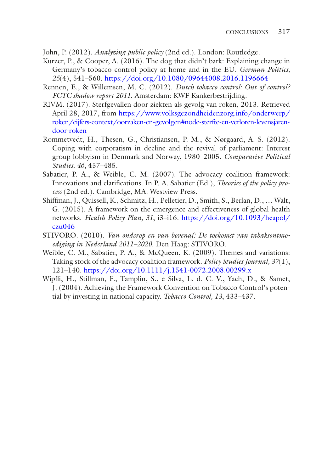<span id="page-12-0"></span>John, P. (2012). *Analyzing public policy* (2nd ed.). London: Routledge.

- <span id="page-12-1"></span>Kurzer, P., & Cooper, A. (2016). The dog that didn't bark: Explaining change in Germany's tobacco control policy at home and in the EU. *German Politics, 25*(4), 541–560. <https://doi.org/10.1080/09644008.2016.1196664>
- <span id="page-12-5"></span>Rennen, E., & Willemsen, M. C. (2012). *Dutch tobacco control: Out of control? FCTC shadow report 2011*. Amsterdam: KWF Kankerbestrijding.
- <span id="page-12-8"></span>RIVM. (2017). Sterfgevallen door ziekten als gevolg van roken, 2013. Retrieved April 28, 2017, from [https://www.volksgezondheidenzorg.info/onderwerp/](https://www.volksgezondheidenzorg.info/onderwerp/roken/cijfers-context/oorzaken-en-gevolgen#node-sterfte-en-verloren-levensjaren-door-roken) [roken/cijfers-context/oorzaken-en-gevolgen#node-sterfte-en-verloren-levensjaren](https://www.volksgezondheidenzorg.info/onderwerp/roken/cijfers-context/oorzaken-en-gevolgen#node-sterfte-en-verloren-levensjaren-door-roken)[door-roken](https://www.volksgezondheidenzorg.info/onderwerp/roken/cijfers-context/oorzaken-en-gevolgen#node-sterfte-en-verloren-levensjaren-door-roken)
- <span id="page-12-2"></span>Rommetvedt, H., Thesen, G., Christiansen, P. M., & Nørgaard, A. S. (2012). Coping with corporatism in decline and the revival of parliament: Interest group lobbyism in Denmark and Norway, 1980–2005. *Comparative Political Studies, 46*, 457–485.
- <span id="page-12-3"></span>Sabatier, P. A., & Weible, C. M. (2007). The advocacy coalition framework: Innovations and clarifications. In P. A. Sabatier (Ed.), *Theories of the policy process* (2nd ed.). Cambridge, MA: Westview Press.
- <span id="page-12-9"></span>Shiffman, J., Quissell, K., Schmitz, H., Pelletier, D., Smith, S., Berlan, D., … Walt, G. (2015). A framework on the emergence and effectiveness of global health networks. *Health Policy Plan, 31*, i3–i16. [https://doi.org/10.1093/heapol/](https://doi.org/10.1093/heapol/czu046) [czu046](https://doi.org/10.1093/heapol/czu046)
- <span id="page-12-6"></span>STIVORO. (2010). *Van onderop en van bovenaf: De toekomst van tabaksontmoediging in Nederland 2011–2020*. Den Haag: STIVORO.
- <span id="page-12-4"></span>Weible, C. M., Sabatier, P. A., & McQueen, K. (2009). Themes and variations: Taking stock of the advocacy coalition framework. *Policy Studies Journal, 37*(1), 121–140. <https://doi.org/10.1111/j.1541-0072.2008.00299.x>
- <span id="page-12-7"></span>Wipfli, H., Stillman, F., Tamplin, S., e Silva, L. d. C. V., Yach, D., & Samet, J. (2004). Achieving the Framework Convention on Tobacco Control's potential by investing in national capacity. *Tobacco Control, 13*, 433–437.